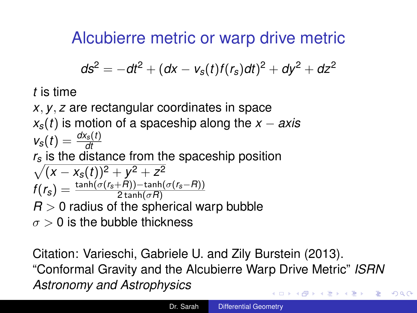<span id="page-0-0"></span>Alcubierre metric or warp drive metric

$$
ds^2 = -dt^2 + (dx - v_s(t)f(r_s)dt)^2 + dy^2 + dz^2
$$

*t* is time

*x*, *y*, *z* are rectangular coordinates in space *xs*(*t*) is motion of a spaceship along the *x* − *axis*  $v_s(t) = \frac{dx_s(t)}{dt}$  $\sqrt{(x-x_s(t))^2+y^2+z^2}$ *r<sup>s</sup>* is the distance from the spaceship position  $f(r_{\rm s}) = \frac{\tanh(\sigma(r_{\rm s}+R)) - \tanh(\sigma(r_{\rm s}-R))}{2\tanh(\sigma R)}$  $R > 0$  radius of the spherical warp bubble  $\sigma > 0$  is the bubble thickness

Citation: Varieschi, Gabriele U. and Zily Burstein (2013). "Conformal Gravity and the Alcubierre Warp Drive Metric" *ISRN Astronomy and Astrophysics* イロト イ押 トイヨ トイヨ トー  $\equiv$  $QQ$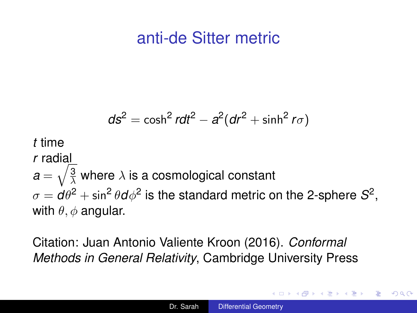## anti-de Sitter metric

$$
ds^{2} = \cosh^{2} r dt^{2} - a^{2} (dr^{2} + \sinh^{2} r \sigma)
$$
  
*t* time  
*r* radial  

$$
a = \sqrt{\frac{3}{\lambda}}
$$
 where  $\lambda$  is a cosmological constant  

$$
\sigma = d\theta^{2} + \sin^{2} \theta d\phi^{2}
$$
 is the standard metric on the 2-sphere  $S^{2}$ , with  $\theta$ ,  $\phi$  angular.

Citation: Juan Antonio Valiente Kroon (2016). *Conformal Methods in General Relativity*, Cambridge University Press

 $\langle \oplus \rangle$  >  $\langle \oplus \rangle$  >  $\langle \oplus \rangle$ 

4 0 8

重  $2Q$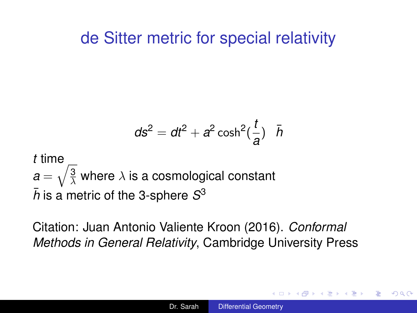### <span id="page-2-0"></span>de Sitter metric for special relativity

$$
ds^2 = dt^2 + a^2 \cosh^2(\frac{t}{a}) \bar{h}
$$

*t* time  $\bm{a}=\sqrt{\frac{3}{\lambda}}$  where  $\lambda$  is a cosmological constant  $\bar{h}$  is a metric of the 3-sphere  $S^3$ 

Citation: Juan Antonio Valiente Kroon (2016). *Conformal Methods in General Relativity*, Cambridge University Press

 $\Omega$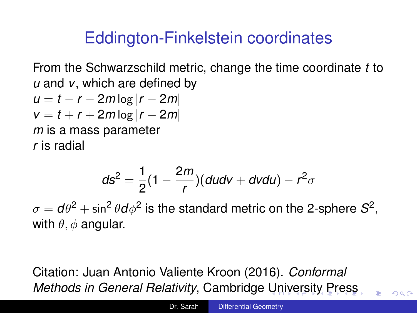# <span id="page-3-0"></span>Eddington-Finkelstein coordinates

From the Schwarzschild metric, change the time coordinate *t* to *u* and *v*, which are defined by

$$
u = t - r - 2m \log |r - 2m|
$$
  

$$
v = t + r + 2m \log |r - 2m|
$$
  
*m* is a mass parameter  
*r* is radial

$$
ds^2 = \frac{1}{2}(1-\frac{2m}{r})(dudv + dvdu) - r^2\sigma
$$

 $\sigma = d\theta^2 + \sin^2\theta d\phi^2$  is the standard metric on the 2-sphere  $\mathcal{S}^2,$ with  $\theta$ ,  $\phi$  angular.

Citation: Juan Antonio Valiente Kroon (2016). *Conformal Methods in General Relativity*, Cambridge [Un](#page-2-0)[iv](#page-4-0)[e](#page-2-0)[rs](#page-3-0)[it](#page-4-0)[y](#page-0-0) [Pr](#page-17-0)[es](#page-0-0)[s](#page-17-0)

 $\Omega$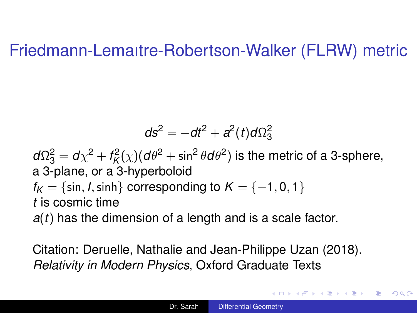#### <span id="page-4-0"></span>Friedmann-Lemaıtre-Robertson-Walker (FLRW) metric

$$
ds^2 = -dt^2 + a^2(t)d\Omega_3^2
$$

 $d\Omega_3^2 = d\chi^2 + f_\mathcal{K}^2(\chi) (d\theta^2 + \sin^2\theta d\theta^2)$  is the metric of a 3-sphere, a 3-plane, or a 3-hyperboloid  $f_K = \{ \sin, I, \sinh \}$  corresponding to  $K = \{-1, 0, 1\}$ *t* is cosmic time

*a*(*t*) has the dimension of a length and is a scale factor.

Citation: Deruelle, Nathalie and Jean-Philippe Uzan (2018). *Relativity in Modern Physics*, Oxford Graduate Texts

イロト イ押 トイヨ トイヨ トー

B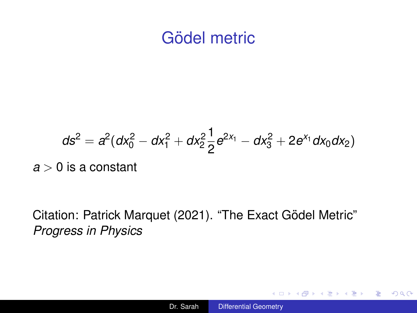## Gödel metric

<span id="page-5-0"></span>
$$
ds^{2} = a^{2}(dx_{0}^{2} - dx_{1}^{2} + dx_{2}^{2}\frac{1}{2}e^{2x_{1}} - dx_{3}^{2} + 2e^{x_{1}}dx_{0}dx_{2})
$$

*a* > 0 is a constant

Citation: Patrick Marquet (2021). "The Exact Gödel Metric" *Progress in Physics*

K ロ > K @ > K 할 > K 할 > → 할 → ⊙ Q @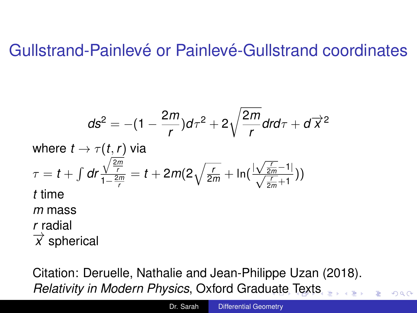### <span id="page-6-0"></span>Gullstrand-Painlevé or Painlevé-Gullstrand coordinates

$$
ds^{2} = -(1 - \frac{2m}{r})d\tau^{2} + 2\sqrt{\frac{2m}{r}}dr d\tau + d\overrightarrow{x}^{2}
$$
  
where  $t \to \tau(t, r)$  via  

$$
\tau = t + \int dr \frac{\sqrt{\frac{2m}{r}}}{1 - \frac{2m}{r}} = t + 2m(2\sqrt{\frac{r}{2m}} + \ln(\frac{|\sqrt{\frac{r}{2m}} - 1|}{\sqrt{\frac{r}{2m}} + 1}))
$$
  
*t* time  
*m* mass  
*r* radial  
 $\overrightarrow{x}$  spherical

Citation: Deruelle, Nathalie and Jean-Philippe Uzan (2018). *Relativity in Modern Physics*, Oxford Grad[ua](#page-5-0)t[e](#page-7-0) [T](#page-5-0)[ex](#page-6-0)[t](#page-7-0)[s](#page-0-0)

 $QQ$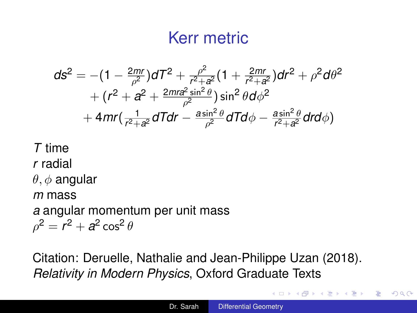## Kerr metric

<span id="page-7-0"></span>
$$
ds^{2} = -(1 - \frac{2mr}{\rho^{2}})dT^{2} + \frac{\rho^{2}}{r^{2} + a^{2}}(1 + \frac{2mr}{r^{2} + a^{2}})dr^{2} + \rho^{2}d\theta^{2} + (r^{2} + a^{2} + \frac{2mr^{2}\sin^{2}\theta}{\rho^{2}})\sin^{2}\theta d\phi^{2} + 4mr(\frac{1}{r^{2} + a^{2}}dTdr - \frac{a\sin^{2}\theta}{\rho^{2}}dTd\phi - \frac{a\sin^{2}\theta}{r^{2} + a^{2}}drd\phi)
$$

#### *T* time *r* radial  $\theta$ ,  $\phi$  angular *m* mass *a* angular momentum per unit mass  $\rho^2=r^2+a^2\cos^2\theta$

Citation: Deruelle, Nathalie and Jean-Philippe Uzan (2018). *Relativity in Modern Physics*, Oxford Graduate Texts

イロト イ団ト イヨト イヨト

÷.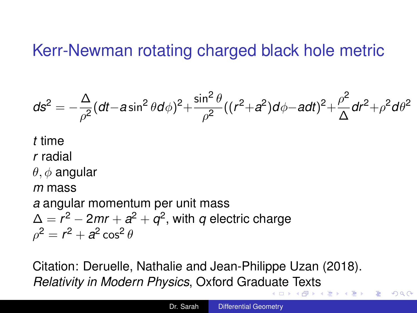### <span id="page-8-0"></span>Kerr-Newman rotating charged black hole metric

$$
ds^2=-\frac{\Delta}{\rho^2}(dt-a\sin^2\theta d\phi)^2+\frac{\sin^2\theta}{\rho^2}((r^2+a^2)d\phi-a dt)^2+\frac{\rho^2}{\Delta}dr^2+\rho^2 d\theta^2
$$

*t* time  
\n*r* radial  
\n
$$
\theta
$$
,  $\phi$  angular  
\n*m* mass  
\n*a* angular momentum per unit mass  
\n $\Delta = r^2 - 2mr + a^2 + q^2$ , with *q* electric charge  
\n $\rho^2 = r^2 + a^2 \cos^2 \theta$ 

Citation: Deruelle, Nathalie and Jean-Philippe Uzan (2018). *Relativity in Modern Physics*, Oxford Grad[ua](#page-7-0)t[e](#page-9-0) [T](#page-7-0)[ex](#page-8-0)[t](#page-9-0)[s](#page-0-0) 重き

B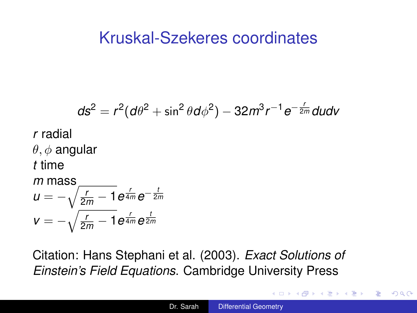### <span id="page-9-0"></span>Kruskal-Szekeres coordinates

$$
ds^{2} = r^{2}(d\theta^{2} + \sin^{2}\theta d\phi^{2}) - 32m^{3}r^{-1}e^{-\frac{r}{2m}}dudv
$$
  
r radial  
 $\theta, \phi$  angular  
t time  
m mass  
 $u = -\sqrt{\frac{r}{2m} - 1}e^{\frac{r}{4m}}e^{-\frac{t}{2m}}$   
 $v = -\sqrt{\frac{r}{2m} - 1}e^{\frac{r}{4m}}e^{\frac{t}{2m}}$ 

Citation: Hans Stephani et al. (2003). *Exact Solutions of Einstein's Field Equations*. Cambridge University Press

÷.

 $2Q$ 

→ 重 ト 4 重 トー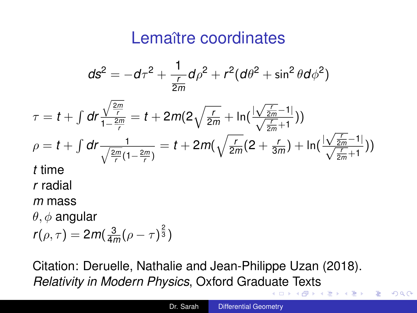## Lemaître coordinates

<span id="page-10-0"></span>
$$
ds^{2} = -d\tau^{2} + \frac{1}{\frac{r}{2m}}d\rho^{2} + r^{2}(d\theta^{2} + \sin^{2}\theta d\phi^{2})
$$

$$
\tau = t + \int dr \frac{\sqrt{\frac{2m}{r}}}{1 - \frac{2m}{r}} = t + 2m(2\sqrt{\frac{r}{2m}} + \ln(\frac{|\sqrt{\frac{r}{2m}} - 1|}{\sqrt{\frac{r}{2m}} + 1}))
$$
\n
$$
\rho = t + \int dr \frac{1}{\sqrt{\frac{2m}{r}}(1 - \frac{2m}{r})} = t + 2m(\sqrt{\frac{r}{2m}}(2 + \frac{r}{3m}) + \ln(\frac{|\sqrt{\frac{r}{2m}} - 1|}{\sqrt{\frac{r}{2m}} + 1}))
$$
\nt time\n*r* radial

*m* mass

 $\theta$ ,  $\phi$  angular

$$
r(\rho,\tau)=2m(\tfrac{3}{4m}(\rho-\tau)^{\frac{2}{3}})
$$

Citation: Deruelle, Nathalie and Jean-Philippe Uzan (2018). *Relativity in Modern Physics*, Oxford Grad[ua](#page-9-0)t[e](#page-11-0) [T](#page-9-0)[ex](#page-10-0)[t](#page-11-0)[s](#page-0-0)

 $\sim$ 

重。  $2Q$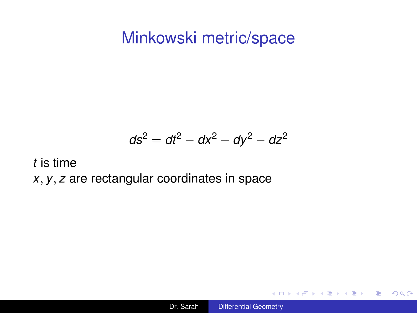#### <span id="page-11-0"></span>Minkowski metric/space

$$
ds^2 = dt^2 - dx^2 - dy^2 - dz^2
$$

*t* is time

*x*, *y*, *z* are rectangular coordinates in space

イロト イ団ト イヨト イヨト

 $\equiv$  990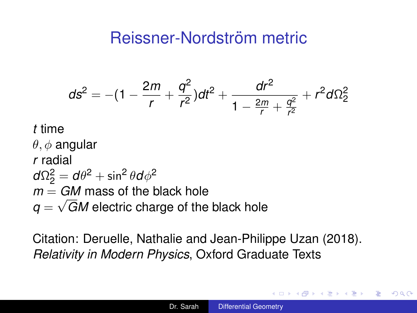## Reissner-Nordström metric

$$
ds^{2} = -(1 - \frac{2m}{r} + \frac{q^{2}}{r^{2}})dt^{2} + \frac{dr^{2}}{1 - \frac{2m}{r} + \frac{q^{2}}{r^{2}}} + r^{2}d\Omega_{2}^{2}
$$

#### *t* time

 $\theta, \phi$  angular *r* radial  $d\Omega_2^2 = d\theta^2 + \sin^2\theta d\phi^2$  $m = GM$  mass of the black hole  $q=\sqrt{GM}$  electric charge of the black hole

Citation: Deruelle, Nathalie and Jean-Philippe Uzan (2018). *Relativity in Modern Physics*, Oxford Graduate Texts

← 伊 \* + ヨ \* + ヨ \*

B

 $QQ$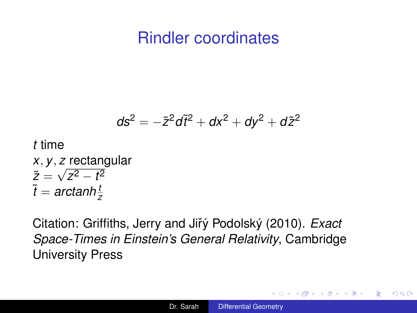### Rindler coordinates

$$
ds^2=-\tilde{z}^2d\tilde{t}^2+dx^2+dy^2+d\tilde{z}^2
$$

*t* time *x*, *y*, *z* rectangular √  $\tilde{z} = \sqrt{z^2 - t^2}$  $\tilde{t} = \textit{arctanh}\frac{t}{z}$ 

Citation: Griffiths, Jerry and Jiřý Podolský (2010). *Exact Space-Times in Einstein's General Relativity*, Cambridge University Press

イロト イ押 トイヨ トイヨ トー

÷.  $QQ$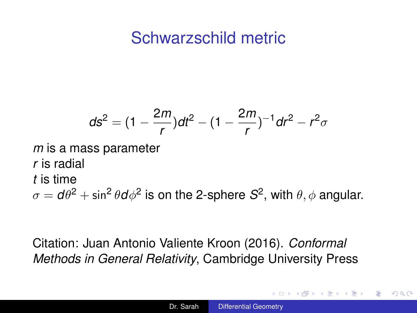## Schwarzschild metric

$$
ds^{2} = (1 - \frac{2m}{r})dt^{2} - (1 - \frac{2m}{r})^{-1}dr^{2} - r^{2}\sigma
$$
  
a mass parameter

*r* is radial *t* is time

 $m$  is

 $\sigma = {\mathsf d} \theta^2 + \sin^2 \theta {\mathsf d} \phi^2$  is on the 2-sphere  ${\mathcal S}^2$ , with  $\theta, \phi$  angular.

#### Citation: Juan Antonio Valiente Kroon (2016). *Conformal Methods in General Relativity*, Cambridge University Press

K 何 ▶ K ヨ ▶ K ヨ ▶

÷.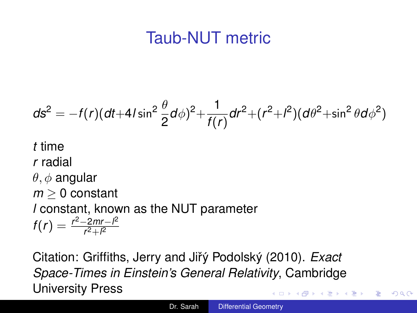# Taub-NUT metric

$$
ds^{2} = -f(r)(dt + 4I\sin^{2}\frac{\theta}{2}d\phi)^{2} + \frac{1}{f(r)}dr^{2} + (r^{2} + l^{2})(d\theta^{2} + \sin^{2}\theta d\phi^{2})
$$

*t* time *r* radial  $\theta, \phi$  angular *m* ≥ 0 constant *l* constant, known as the NUT parameter  $f(r) = \frac{r^2 - 2mr - l^2}{r^2 + l^2}$ *r* <sup>2</sup>+*l* 2

Citation: Griffiths, Jerry and Jiřý Podolský (2010). Exact *Space-Times in Einstein's General Relativity*, Cambridge University Press  $\left\{ \left\vert \left\{ \mathbf{P}\right\} \right\vert \times \left\{ \left\vert \mathbf{P}\right\vert \right\} \right\}$  and  $\left\{ \left\vert \mathbf{P}\right\vert \right\}$ 

÷.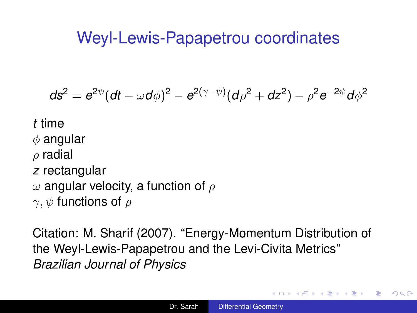## Weyl-Lewis-Papapetrou coordinates

$$
ds^2 = e^{2\psi}(dt - \omega d\phi)^2 - e^{2(\gamma - \psi)}(d\rho^2 + dz^2) - \rho^2 e^{-2\psi} d\phi^2
$$

- *t* time
- $\phi$  angular
- $\rho$  radial
- *z* rectangular
- $\omega$  angular velocity, a function of  $\rho$
- $\gamma, \psi$  functions of  $\rho$

Citation: M. Sharif (2007). "Energy-Momentum Distribution of the Weyl-Lewis-Papapetrou and the Levi-Civita Metrics" *Brazilian Journal of Physics*

**K ロ ▶ K 何 ▶ K ヨ ▶ K ヨ ▶** 

噴く  $2Q$